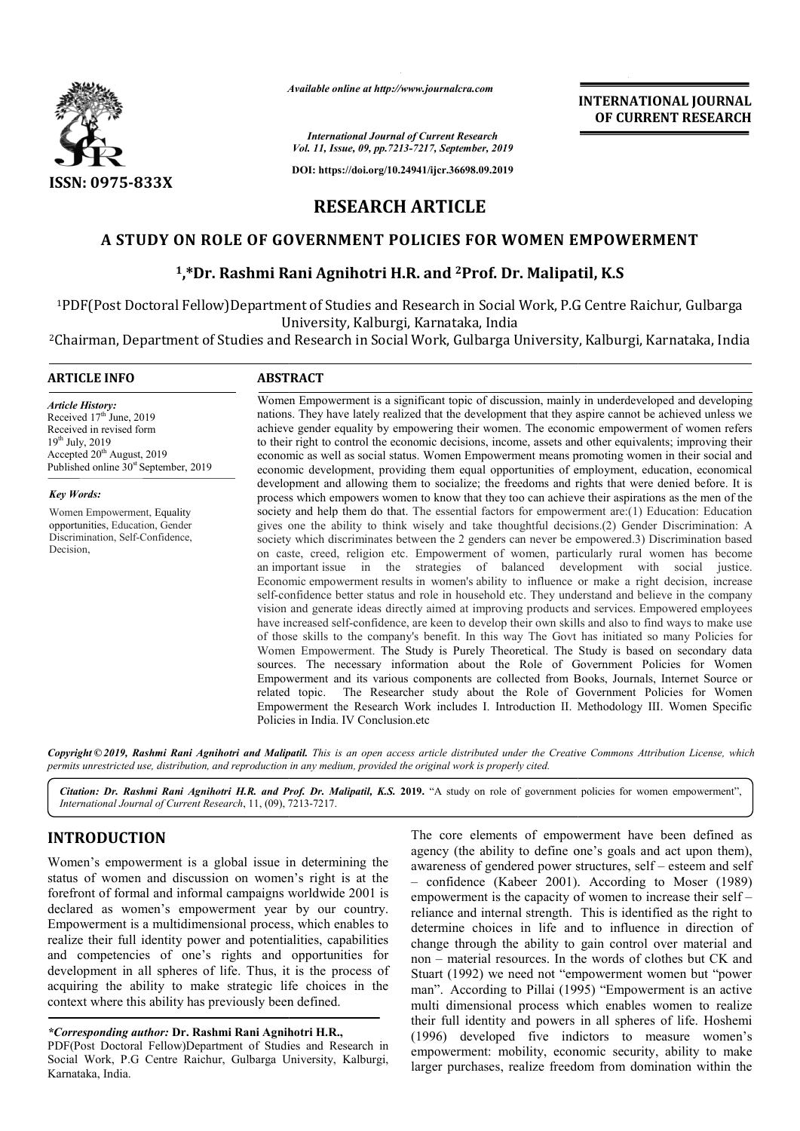

*Available online at http://www.journalcra.com*

**INTERNATIONAL JOURNAL OF CURRENT RESEARCH**

*International Journal of Current Research Vol. 11, Issue, 09, pp.7213-7217, September, 2019*

**DOI: https://doi.org/10.24941/ijcr.36698.09.2019**

# **RESEARCH ARTICLE**

# A STUDY ON ROLE OF GOVERNMENT POLICIES FOR WOMEN EMPOWERMENT<br><sup>1</sup>,\*Dr. Rashmi Rani Agnihotri H.R. and <sup>2</sup>Prof. Dr. Malipatil, K.S

# <sup>1</sup>,\*Dr. Rashmi Rani Agnihotri H.R. and <sup>2</sup>Prof. Dr. Malipatil, K.S

1PDF(Post Doctoral Fellow)Department of Studies and Research in Social Work, P.G Centre Raichur, Gulbarga University, Kalburgi, Karnataka, India IPDF(Post Doctoral Fellow)Department of Studies and Research in Social Work, P.G Centre Raichur, Gulbarga لIniversity, Kalburgi, Karnataka, India<br>Chairman, Department of Studies and Research in Social Work, Gulbarga Univer

# **ARTICLE INFO ABSTRACT**

*Article History:* Received  $17<sup>th</sup>$  June, 2019 Received in revised form 19th July, 2019 Accepted 20<sup>th</sup> August, 2019 Published online  $30<sup>st</sup>$  September, 2019

*Key Words:* Women Empowerment, Equality opportunities, Education, Gender Discrimination, Self-Confidence, Decision,

Women Empowerment is a significant topic of discussion, mainly in underdeveloped and developing nations. They have lately realized that the development that they aspire cannot be achieved unless we achieve gender equality by empowering their women. The economic empowerment of women refers to their right to control the economic decisions, income, assets and other equivalents; improving their economic as well as social status. Women Empowerment means promoting women in their social and economic development, providing them equal opportunities of employment, education, economical development and allowing them to socialize; the freedoms and rights that were denied before. It is process which empowers women to know that they too can achieve their aspirations as the men of the society and help them do that. The essential factors for empowerment are:(1) Education: Education gives one the ability to think wisely and take thoughtful decisions.(2) Gender Discrimination: A society which discriminates between the 2 genders can never be empowered.3) Discrimination based on caste, creed, religion etc. Empowerment of women, particularly rural women has become society which discriminates between the 2 genders can never be empowered.3) Discrimination based<br>on caste, creed, religion etc. Empowerment of women, particularly rural women has become<br>an important issue in the strategies Economic empowerment results in women's ability to influence or make a right decision, increase self-confidence better status and role in household etc. They understand and believe in the company Economic empowerment results in women's ability to influence or make a right decision, increase self-confidence better status and role in household etc. They understand and believe in the company vision and generate ideas have increased self-confidence, are keen to develop their own skills and also to find ways to make use of those skills to the company's benefit. In this way The Govt has initiated so many Policies for Wome Women Empowerment. The Study is Purely Theoretical. The Study is based on secondary data sources. The necessary information about the Role of Government Policies for Women Empowerment and its various components are collected from Books, Journals, Internet Sour related topic. The Researcher study about the Role of Government Policies for Women related topic. The Researcher study about the Role of Government Policies for Women<br>Empowerment the Research Work includes I. Introduction II. Methodology III. Women Specific Policies in India. IV Conclusion.etc Women Empowerment is a significant topic of discussion, mainly in underdeveloped and developing<br>nations. They have lately realized that the development that they aspire cannot be achieved unless we<br>achieve gender equality economic development, providing them equal opportunities of employment, education, economical development and allowing them to socialize; the freedoms and rights that were denied before. It is process which empowers women have increased self-confidence, are keen to develop their own skills and also to find ways to make use<br>of those skills to the company's benefit. In this way The Govt has initiated so many Policies for<br>Women Empowerment. Th **EXERCATIONAL JOURNAL FORMAL FORMAL FORMAL FORMAL FORMAL FORMAL FORMAL CONNINSUMPLE TOUTS, Superconomic CONNINSUMPLE INTERNATIONAL FORMAL CONNINSUMPLE INTERNATIONAL CONNINSUMPLE INTERNATIONAL AND AND AND AND AND AND AND A** 

Copyright © 2019, Rashmi Rani Agnihotri and Malipatil. This is an open access article distributed under the Creative Commons Attribution License, which permits unrestricted use, distribution, and reproduction in any medium, provided the original work is properly cited.

Citation: Dr. Rashmi Rani Agnihotri H.R. and Prof. Dr. Malipatil, K.S. 2019. "A study on role of government policies for women empowerment", *International Journal of Current Research*, 11, (09), 7213 7213-7217.

# **INTRODUCTION**

Women's empowerment is a global issue in determining the status of women and discussion on women's right is at the forefront of formal and informal campaigns worldwide 2001 is declared as women's empowerment year by our country. Empowerment is a multidimensional process, which enables to realize their full identity power and potentialities, capabilities and competencies of one's rights and opportunities for development in all spheres of life. Thus, it is the process of acquiring the ability to make strategic life choices in the context where this ability has previously been defined.

*\*Corresponding author:* **Dr. Rashmi Rani Agnihotri H.R H.R.,** PDF(Post Doctoral Fellow)Department of Studies and Research in Social Work, P.G Centre Raichur, Gulbarga University, Kalburgi, Karnataka, India.

The core elements of empowerment have been defined as agency (the ability to define one's goals and act upon them), agency (the ability to define one's goals and act upon them), awareness of gendered power structures, self – esteem and self – confidence (Kabeer 2001). . According to Moser (1989) empowerment is the capacity of women to increase their self reliance and internal strength. This is identified as the right to determine choices in life and to influence in direction of reliance and internal strength. This is identified as the right to determine choices in life and to influence in direction of change through the ability to gain control over material and non – material resources. In the words of clothes but CK and Stuart (1992) we need not "empowerment women but "power man". According to Pillai (1995) "Empowerment is an active multi dimensional process which enables women to realize their full identity and powers in all spheres of life. (1996) developed five indictors to measure women's empowerment: mobility, economic security, ability to make larger purchases, realize freedom from domination within the material resources. In the words of clothes but CK and (1992) we need not "empowerment women but "power According to Pillai (1995) "Empowerment is an active dimensional process which enables women to realize ull identity a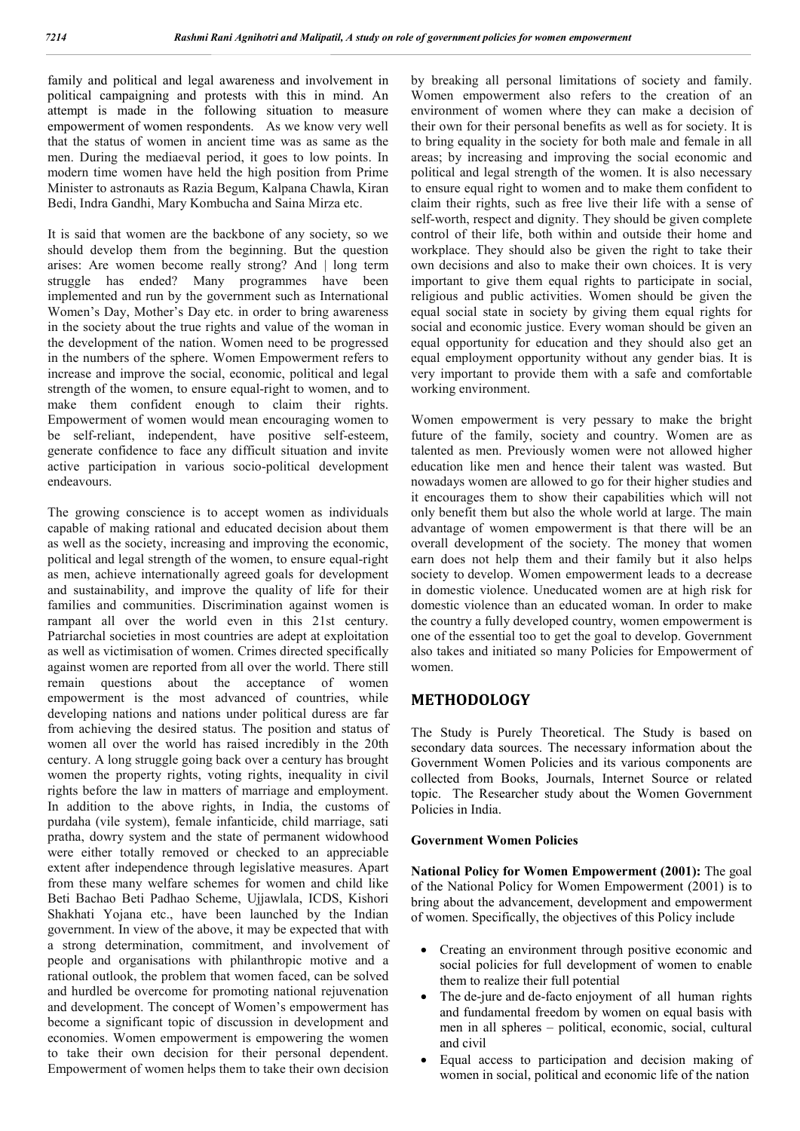family and political and legal awareness and involvement in political campaigning and protests with this in mind. An attempt is made in the following situation to measure empowerment of women respondents. As we know very well that the status of women in ancient time was as same as the men. During the mediaeval period, it goes to low points. In modern time women have held the high position from Prime Minister to astronauts as Razia Begum, Kalpana Chawla, Kiran Bedi, Indra Gandhi, Mary Kombucha and Saina Mirza etc.

It is said that women are the backbone of any society, so we should develop them from the beginning. But the question arises: Are women become really strong? And | long term struggle has ended? Many programmes have been implemented and run by the government such as International Women's Day, Mother's Day etc. in order to bring awareness in the society about the true rights and value of the woman in the development of the nation. Women need to be progressed in the numbers of the sphere. Women Empowerment refers to increase and improve the social, economic, political and legal strength of the women, to ensure equal-right to women, and to make them confident enough to claim their rights. Empowerment of women would mean encouraging women to be self-reliant, independent, have positive self-esteem, generate confidence to face any difficult situation and invite active participation in various socio-political development endeavours.

The growing conscience is to accept women as individuals capable of making rational and educated decision about them as well as the society, increasing and improving the economic, political and legal strength of the women, to ensure equal-right as men, achieve internationally agreed goals for development and sustainability, and improve the quality of life for their families and communities. Discrimination against women is rampant all over the world even in this 21st century. Patriarchal societies in most countries are adept at exploitation as well as victimisation of women. Crimes directed specifically against women are reported from all over the world. There still remain questions about the acceptance of women empowerment is the most advanced of countries, while developing nations and nations under political duress are far from achieving the desired status. The position and status of women all over the world has raised incredibly in the 20th century. A long struggle going back over a century has brought women the property rights, voting rights, inequality in civil rights before the law in matters of marriage and employment. In addition to the above rights, in India, the customs of purdaha (vile system), female infanticide, child marriage, sati pratha, dowry system and the state of permanent widowhood were either totally removed or checked to an appreciable extent after independence through legislative measures. Apart from these many welfare schemes for women and child like Beti Bachao Beti Padhao Scheme, Ujjawlala, ICDS, Kishori Shakhati Yojana etc., have been launched by the Indian government. In view of the above, it may be expected that with a strong determination, commitment, and involvement of people and organisations with philanthropic motive and a rational outlook, the problem that women faced, can be solved and hurdled be overcome for promoting national rejuvenation and development. The concept of Women's empowerment has become a significant topic of discussion in development and economies. Women empowerment is empowering the women to take their own decision for their personal dependent. Empowerment of women helps them to take their own decision by breaking all personal limitations of society and family. Women empowerment also refers to the creation of an environment of women where they can make a decision of their own for their personal benefits as well as for society. It is to bring equality in the society for both male and female in all areas; by increasing and improving the social economic and political and legal strength of the women. It is also necessary to ensure equal right to women and to make them confident to claim their rights, such as free live their life with a sense of self-worth, respect and dignity. They should be given complete control of their life, both within and outside their home and workplace. They should also be given the right to take their own decisions and also to make their own choices. It is very important to give them equal rights to participate in social, religious and public activities. Women should be given the equal social state in society by giving them equal rights for social and economic justice. Every woman should be given an equal opportunity for education and they should also get an equal employment opportunity without any gender bias. It is very important to provide them with a safe and comfortable working environment.

Women empowerment is very pessary to make the bright future of the family, society and country. Women are as talented as men. Previously women were not allowed higher education like men and hence their talent was wasted. But nowadays women are allowed to go for their higher studies and it encourages them to show their capabilities which will not only benefit them but also the whole world at large. The main advantage of women empowerment is that there will be an overall development of the society. The money that women earn does not help them and their family but it also helps society to develop. Women empowerment leads to a decrease in domestic violence. Uneducated women are at high risk for domestic violence than an educated woman. In order to make the country a fully developed country, women empowerment is one of the essential too to get the goal to develop. Government also takes and initiated so many Policies for Empowerment of women.

# **METHODOLOGY**

The Study is Purely Theoretical. The Study is based on secondary data sources. The necessary information about the Government Women Policies and its various components are collected from Books, Journals, Internet Source or related topic. The Researcher study about the Women Government Policies in India.

### **Government Women Policies**

**National Policy for Women Empowerment (2001):** The goal of the National Policy for Women Empowerment (2001) is to bring about the advancement, development and empowerment of women. Specifically, the objectives of this Policy include

- Creating an environment through positive economic and social policies for full development of women to enable them to realize their full potential
- The de-jure and de-facto enjoyment of all human rights and fundamental freedom by women on equal basis with men in all spheres – political, economic, social, cultural and civil
- Equal access to participation and decision making of women in social, political and economic life of the nation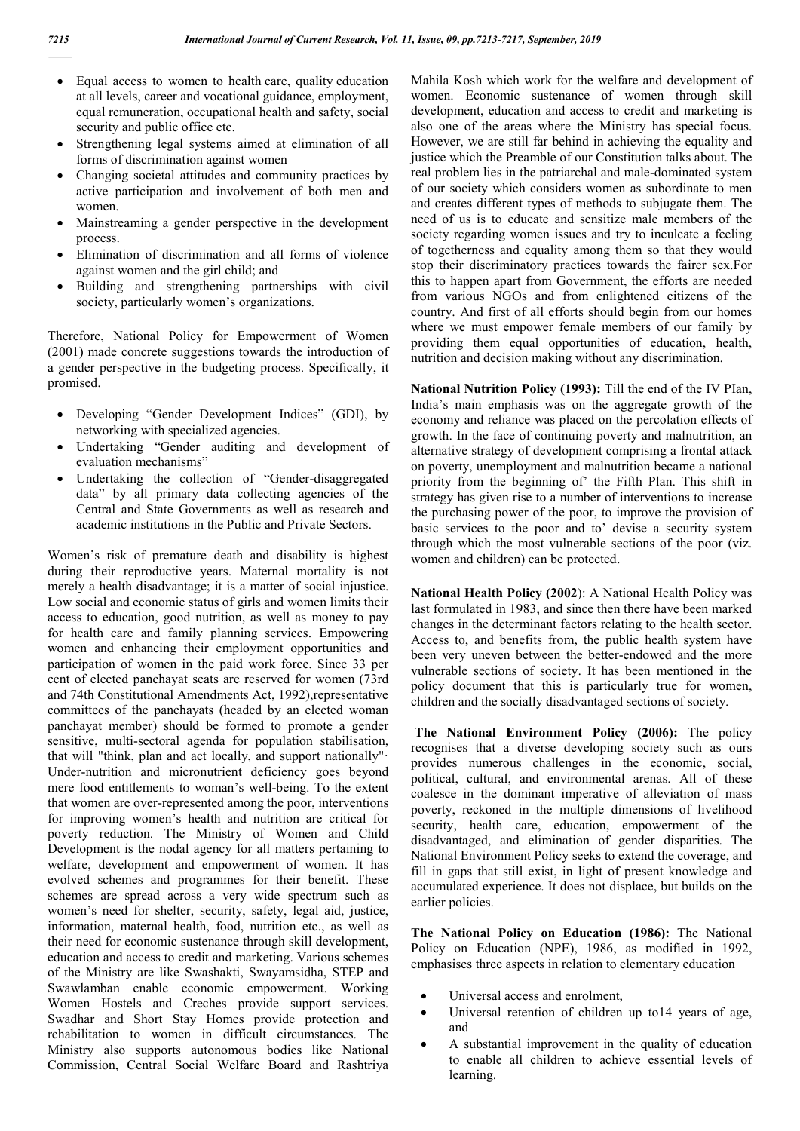- Equal access to women to health care, quality education at all levels, career and vocational guidance, employment, equal remuneration, occupational health and safety, social security and public office etc.
- Strengthening legal systems aimed at elimination of all forms of discrimination against women
- Changing societal attitudes and community practices by active participation and involvement of both men and women.
- Mainstreaming a gender perspective in the development process.
- Elimination of discrimination and all forms of violence against women and the girl child; and
- Building and strengthening partnerships with civil society, particularly women's organizations.

Therefore, National Policy for Empowerment of Women (2001) made concrete suggestions towards the introduction of a gender perspective in the budgeting process. Specifically, it promised.

- Developing "Gender Development Indices" (GDI), by networking with specialized agencies.
- Undertaking "Gender auditing and development of evaluation mechanisms"
- Undertaking the collection of "Gender-disaggregated data" by all primary data collecting agencies of the Central and State Governments as well as research and academic institutions in the Public and Private Sectors.

Women's risk of premature death and disability is highest during their reproductive years. Maternal mortality is not merely a health disadvantage; it is a matter of social injustice. Low social and economic status of girls and women limits their access to education, good nutrition, as well as money to pay for health care and family planning services. Empowering women and enhancing their employment opportunities and participation of women in the paid work force. Since 33 per cent of elected panchayat seats are reserved for women (73rd and 74th Constitutional Amendments Act, 1992),representative committees of the panchayats (headed by an elected woman panchayat member) should be formed to promote a gender sensitive, multi-sectoral agenda for population stabilisation, that will "think, plan and act locally, and support nationally"· Under-nutrition and micronutrient deficiency goes beyond mere food entitlements to woman's well-being. To the extent that women are over-represented among the poor, interventions for improving women's health and nutrition are critical for poverty reduction. The Ministry of Women and Child Development is the nodal agency for all matters pertaining to welfare, development and empowerment of women. It has evolved schemes and programmes for their benefit. These schemes are spread across a very wide spectrum such as women's need for shelter, security, safety, legal aid, justice, information, maternal health, food, nutrition etc., as well as their need for economic sustenance through skill development, education and access to credit and marketing. Various schemes of the Ministry are like Swashakti, Swayamsidha, STEP and Swawlamban enable economic empowerment. Working Women Hostels and Creches provide support services. Swadhar and Short Stay Homes provide protection and rehabilitation to women in difficult circumstances. The Ministry also supports autonomous bodies like National Commission, Central Social Welfare Board and Rashtriya

Mahila Kosh which work for the welfare and development of women. Economic sustenance of women through skill development, education and access to credit and marketing is also one of the areas where the Ministry has special focus. However, we are still far behind in achieving the equality and justice which the Preamble of our Constitution talks about. The real problem lies in the patriarchal and male-dominated system of our society which considers women as subordinate to men and creates different types of methods to subjugate them. The need of us is to educate and sensitize male members of the society regarding women issues and try to inculcate a feeling of togetherness and equality among them so that they would stop their discriminatory practices towards the fairer sex.For this to happen apart from Government, the efforts are needed from various NGOs and from enlightened citizens of the country. And first of all efforts should begin from our homes where we must empower female members of our family by providing them equal opportunities of education, health, nutrition and decision making without any discrimination.

**National Nutrition Policy (1993):** Till the end of the IV PIan, India's main emphasis was on the aggregate growth of the economy and reliance was placed on the percolation effects of growth. In the face of continuing poverty and malnutrition, an alternative strategy of development comprising a frontal attack on poverty, unemployment and malnutrition became a national priority from the beginning of' the Fifth Plan. This shift in strategy has given rise to a number of interventions to increase the purchasing power of the poor, to improve the provision of basic services to the poor and to' devise a security system through which the most vulnerable sections of the poor (viz. women and children) can be protected.

**National Health Policy (2002**): A National Health Policy was last formulated in 1983, and since then there have been marked changes in the determinant factors relating to the health sector. Access to, and benefits from, the public health system have been very uneven between the better-endowed and the more vulnerable sections of society. It has been mentioned in the policy document that this is particularly true for women, children and the socially disadvantaged sections of society.

**The National Environment Policy (2006):** The policy recognises that a diverse developing society such as ours provides numerous challenges in the economic, social, political, cultural, and environmental arenas. All of these coalesce in the dominant imperative of alleviation of mass poverty, reckoned in the multiple dimensions of livelihood security, health care, education, empowerment of the disadvantaged, and elimination of gender disparities. The National Environment Policy seeks to extend the coverage, and fill in gaps that still exist, in light of present knowledge and accumulated experience. It does not displace, but builds on the earlier policies.

**The National Policy on Education (1986):** The National Policy on Education (NPE), 1986, as modified in 1992, emphasises three aspects in relation to elementary education

- Universal access and enrolment,
- Universal retention of children up to14 years of age, and
- A substantial improvement in the quality of education to enable all children to achieve essential levels of learning.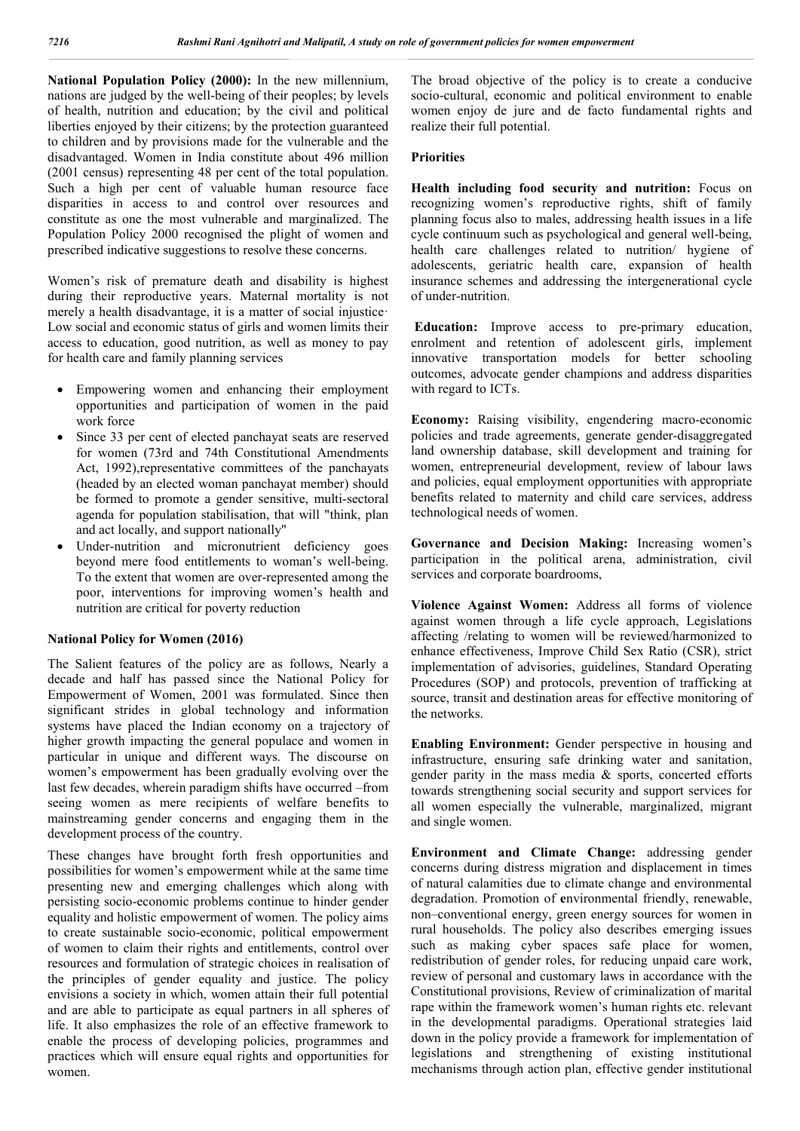**National Population Policy (2000):** In the new millennium, nations are judged by the well-being of their peoples; by levels of health, nutrition and education; by the civil and political liberties enjoyed by their citizens; by the protection guaranteed to children and by provisions made for the vulnerable and the disadvantaged. Women in India constitute about 496 million (2001 census) representing 48 per cent of the total population. Such a high per cent of valuable human resource face disparities in access to and control over resources and constitute as one the most vulnerable and marginalized. The Population Policy 2000 recognised the plight of women and prescribed indicative suggestions to resolve these concerns.

Women's risk of premature death and disability is highest during their reproductive years. Maternal mortality is not merely a health disadvantage, it is a matter of social injustice· Low social and economic status of girls and women limits their access to education, good nutrition, as well as money to pay for health care and family planning services

- Empowering women and enhancing their employment opportunities and participation of women in the paid work force
- Since 33 per cent of elected panchayat seats are reserved for women (73rd and 74th Constitutional Amendments Act, 1992),representative committees of the panchayats (headed by an elected woman panchayat member) should be formed to promote a gender sensitive, multi-sectoral agenda for population stabilisation, that will "think, plan and act locally, and support nationally"
- Under-nutrition and micronutrient deficiency goes beyond mere food entitlements to woman's well-being. To the extent that women are over-represented among the poor, interventions for improving women's health and nutrition are critical for poverty reduction

### **National Policy for Women (2016)**

The Salient features of the policy are as follows, Nearly a decade and half has passed since the National Policy for Empowerment of Women, 2001 was formulated. Since then significant strides in global technology and information systems have placed the Indian economy on a trajectory of higher growth impacting the general populace and women in particular in unique and different ways. The discourse on women's empowerment has been gradually evolving over the last few decades, wherein paradigm shifts have occurred –from seeing women as mere recipients of welfare benefits to mainstreaming gender concerns and engaging them in the development process of the country.

These changes have brought forth fresh opportunities and possibilities for women's empowerment while at the same time presenting new and emerging challenges which along with persisting socio-economic problems continue to hinder gender equality and holistic empowerment of women. The policy aims to create sustainable socio-economic, political empowerment of women to claim their rights and entitlements, control over resources and formulation of strategic choices in realisation of the principles of gender equality and justice. The policy envisions a society in which, women attain their full potential and are able to participate as equal partners in all spheres of life. It also emphasizes the role of an effective framework to enable the process of developing policies, programmes and practices which will ensure equal rights and opportunities for women.

The broad objective of the policy is to create a conducive socio-cultural, economic and political environment to enable women enjoy de jure and de facto fundamental rights and realize their full potential.

### **Priorities**

**Health including food security and nutrition:** Focus on recognizing women's reproductive rights, shift of family planning focus also to males, addressing health issues in a life cycle continuum such as psychological and general well-being, health care challenges related to nutrition/ hygiene of adolescents, geriatric health care, expansion of health insurance schemes and addressing the intergenerational cycle of under-nutrition.

**Education:** Improve access to pre-primary education, enrolment and retention of adolescent girls, implement innovative transportation models for better schooling outcomes, advocate gender champions and address disparities with regard to ICTs.

**Economy:** Raising visibility, engendering macro-economic policies and trade agreements, generate gender-disaggregated land ownership database, skill development and training for women, entrepreneurial development, review of labour laws and policies, equal employment opportunities with appropriate benefits related to maternity and child care services, address technological needs of women.

**Governance and Decision Making:** Increasing women's participation in the political arena, administration, civil services and corporate boardrooms,

**Violence Against Women:** Address all forms of violence against women through a life cycle approach, Legislations affecting /relating to women will be reviewed/harmonized to enhance effectiveness, Improve Child Sex Ratio (CSR), strict implementation of advisories, guidelines, Standard Operating Procedures (SOP) and protocols, prevention of trafficking at source, transit and destination areas for effective monitoring of the networks.

**Enabling Environment:** Gender perspective in housing and infrastructure, ensuring safe drinking water and sanitation, gender parity in the mass media & sports, concerted efforts towards strengthening social security and support services for all women especially the vulnerable, marginalized, migrant and single women.

**Environment and Climate Change:** addressing gender concerns during distress migration and displacement in times of natural calamities due to climate change and environmental degradation. Promotion of **e**nvironmental friendly, renewable, non–conventional energy, green energy sources for women in rural households. The policy also describes emerging issues such as making cyber spaces safe place for women, redistribution of gender roles, for reducing unpaid care work, review of personal and customary laws in accordance with the Constitutional provisions, Review of criminalization of marital rape within the framework women's human rights etc. relevant in the developmental paradigms. Operational strategies laid down in the policy provide a framework for implementation of legislations and strengthening of existing institutional mechanisms through action plan, effective gender institutional